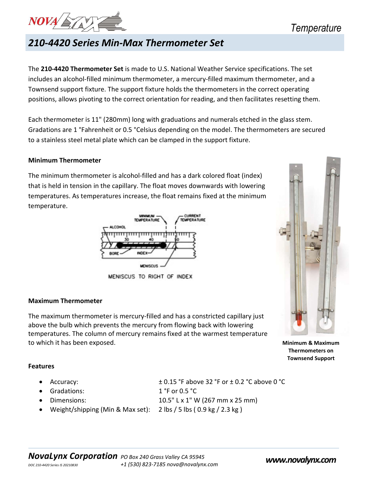

## 210-4420 Series Min-Max Thermometer Set

The 210-4420 Thermometer Set is made to U.S. National Weather Service specifications. The set includes an alcohol-filled minimum thermometer, a mercury-filled maximum thermometer, and a Townsend support fixture. The support fixture holds the thermometers in the correct operating positions, allows pivoting to the correct orientation for reading, and then facilitates resetting them.

Each thermometer is 11" (280mm) long with graduations and numerals etched in the glass stem. Gradations are 1 °Fahrenheit or 0.5 °Celsius depending on the model. The thermometers are secured to a stainless steel metal plate which can be clamped in the support fixture.

#### Minimum Thermometer

The minimum thermometer is alcohol-filled and has a dark colored float (index) that is held in tension in the capillary. The float moves downwards with lowering temperatures. As temperatures increase, the float remains fixed at the minimum temperature.



MENISCUS TO RIGHT OF INDEX

#### Maximum Thermometer

The maximum thermometer is mercury-filled and has a constricted capillary just above the bulb which prevents the mercury from flowing back with lowering temperatures. The column of mercury remains fixed at the warmest temperature to which it has been exposed. Minimum & Maximum

 Thermometers on Townsend Support

#### Features

- 
- Gradations: 1 °F or 0.5 °C
- 
- 

• Accuracy:  $\pm 0.15$  °F above 32 °F or  $\pm 0.2$  °C above 0 °C

- Dimensions:  $10.5"$  L x 1" W (267 mm x 25 mm)
	- Weight/shipping (Min & Max set): 2 lbs / 5 lbs ( 0.9 kg / 2.3 kg )